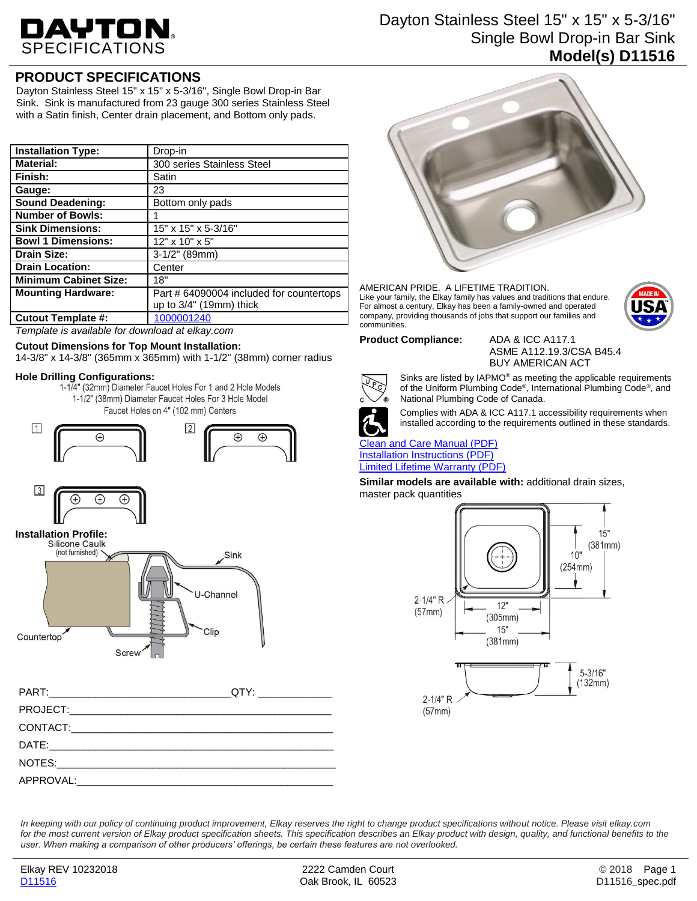# DAYTON.

# Dayton Stainless Steel 15" x 15" x 5-3/16" Single Bowl Drop-in Bar Sink **Model(s) D11516**

## **PRODUCT SPECIFICATIONS**

Dayton Stainless Steel 15" x 15" x 5-3/16", Single Bowl Drop-in Bar Sink. Sink is manufactured from 23 gauge 300 series Stainless Steel with a Satin finish, Center drain placement, and Bottom only pads.

| <b>Installation Type:</b>    | Drop-in                                  |
|------------------------------|------------------------------------------|
| <b>Material:</b>             | 300 series Stainless Steel               |
| Finish:                      | Satin                                    |
| Gauge:                       | 23                                       |
| <b>Sound Deadening:</b>      | Bottom only pads                         |
| <b>Number of Bowls:</b>      |                                          |
| <b>Sink Dimensions:</b>      | 15" x 15" x 5-3/16"                      |
| <b>Bowl 1 Dimensions:</b>    | 12" x 10" x 5"                           |
| <b>Drain Size:</b>           | $3-1/2"$ (89mm)                          |
| <b>Drain Location:</b>       | Center                                   |
| <b>Minimum Cabinet Size:</b> | 18"                                      |
| <b>Mounting Hardware:</b>    | Part # 64090004 included for countertops |
|                              | up to 3/4" (19mm) thick                  |
| Cutout Template #:           | 1000001240                               |

*Template is available for download at elkay.com*

#### **Cutout Dimensions for Top Mount Installation:**

14-3/8" x 14-3/8" (365mm x 365mm) with 1-1/2" (38mm) corner radius

**Hole Drilling Configurations:** 1-1/2" (38mm) Diameter Faucet Holes For 3 Hole Model

Faucet Holes on 4" (102 mm) Centers







| QTY:________________ |
|----------------------|
|                      |
|                      |
|                      |
|                      |
|                      |



AMERICAN PRIDE. A LIFETIME TRADITION. Like your family, the Elkay family has values and traditions that endure. For almost a century, Elkay has been a family-owned and operated company, providing thousands of jobs that support our families and communities.



**Product Compliance:** ADA & ICC A117.1

ASME A112.19.3/CSA B45.4 BUY AMERICAN ACT



Sinks are listed by IAPMO® as meeting the applicable requirements of the Uniform Plumbing Code®, International Plumbing Code®, and National Plumbing Code of Canada.



Complies with ADA & ICC A117.1 accessibility requirements when installed according to the requirements outlined in these standards.

#### [Clean and Care Manual \(PDF\)](http://www.elkay.com/wcsstore/lkdocs/care-cleaning-install-warranty-sheets/residential%20and%20commercial%20care%20%20cleaning.pdf) [Installation Instructions \(PDF\)](http://www.elkay.com/wcsstore/lkdocs/care-cleaning-install-warranty-sheets/64180036.pdf) [Limited Lifetime Warranty](http://www.elkay.com/wcsstore/lkdocs/care-cleaning-install-warranty-sheets/residential%20sinks%20warranty.pdf) (PDF)

**Similar models are available with:** additional drain sizes, master pack quantities



*In keeping with our policy of continuing product improvement, Elkay reserves the right to change product specifications without notice. Please visit elkay.com for the most current version of Elkay product specification sheets. This specification describes an Elkay product with design, quality, and functional benefits to the user. When making a comparison of other producers' offerings, be certain these features are not overlooked.*